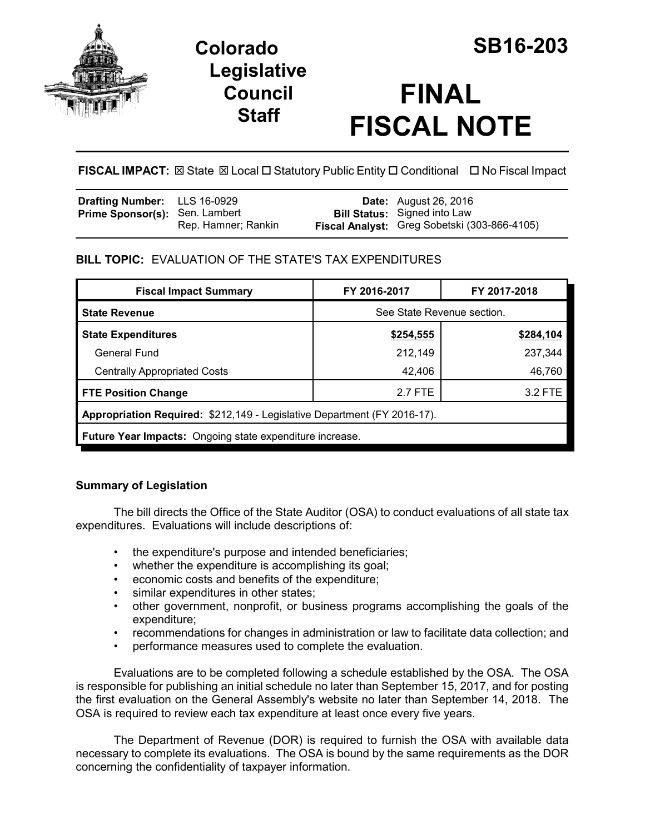

# **Colorado SB16-203 Legislative Council Staff**

# **FINAL FISCAL NOTE**

**FISCAL IMPACT:** ⊠ State ⊠ Local □ Statutory Public Entity □ Conditional □ No Fiscal Impact

| <b>Drafting Number:</b> LLS 16-0929   |                     | <b>Date:</b> August 26, 2016                                                        |
|---------------------------------------|---------------------|-------------------------------------------------------------------------------------|
| <b>Prime Sponsor(s): Sen. Lambert</b> | Rep. Hamner; Rankin | <b>Bill Status:</b> Signed into Law<br>Fiscal Analyst: Greg Sobetski (303-866-4105) |

## **BILL TOPIC:** EVALUATION OF THE STATE'S TAX EXPENDITURES

| <b>Fiscal Impact Summary</b>                                             | FY 2016-2017               | FY 2017-2018 |  |  |  |
|--------------------------------------------------------------------------|----------------------------|--------------|--|--|--|
| <b>State Revenue</b>                                                     | See State Revenue section. |              |  |  |  |
| <b>State Expenditures</b>                                                | \$254,555                  | \$284,104    |  |  |  |
| General Fund                                                             | 212,149                    | 237,344      |  |  |  |
| <b>Centrally Appropriated Costs</b>                                      | 42,406                     | 46,760       |  |  |  |
| <b>FTE Position Change</b>                                               | 2.7 FTE                    | 3.2 FTE      |  |  |  |
| Appropriation Required: \$212,149 - Legislative Department (FY 2016-17). |                            |              |  |  |  |
| <b>Future Year Impacts:</b> Ongoing state expenditure increase.          |                            |              |  |  |  |

### **Summary of Legislation**

The bill directs the Office of the State Auditor (OSA) to conduct evaluations of all state tax expenditures. Evaluations will include descriptions of:

- the expenditure's purpose and intended beneficiaries;
- whether the expenditure is accomplishing its goal;
- economic costs and benefits of the expenditure;
- similar expenditures in other states;
- other government, nonprofit, or business programs accomplishing the goals of the expenditure;
- recommendations for changes in administration or law to facilitate data collection; and
- performance measures used to complete the evaluation.

Evaluations are to be completed following a schedule established by the OSA. The OSA is responsible for publishing an initial schedule no later than September 15, 2017, and for posting the first evaluation on the General Assembly's website no later than September 14, 2018. The OSA is required to review each tax expenditure at least once every five years.

The Department of Revenue (DOR) is required to furnish the OSA with available data necessary to complete its evaluations. The OSA is bound by the same requirements as the DOR concerning the confidentiality of taxpayer information.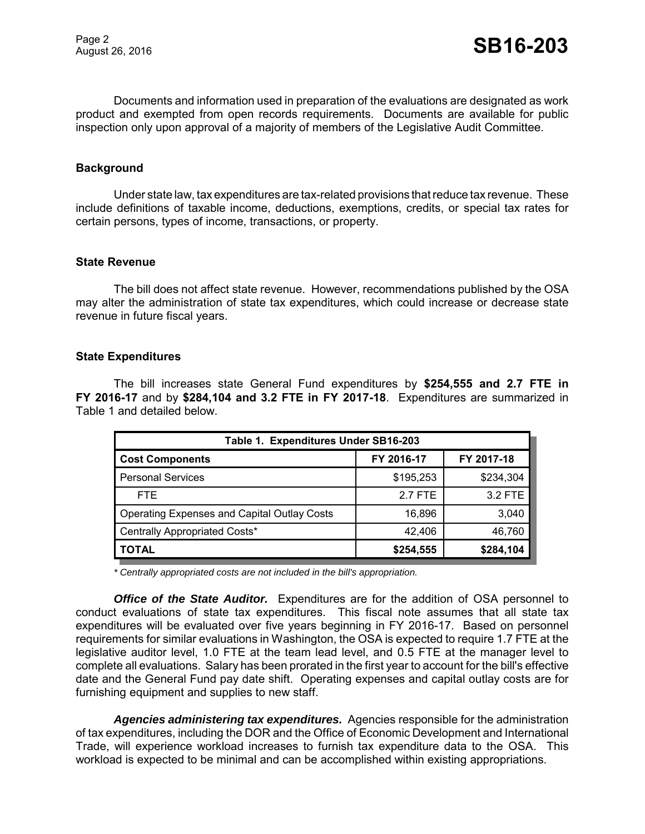Documents and information used in preparation of the evaluations are designated as work product and exempted from open records requirements. Documents are available for public inspection only upon approval of a majority of members of the Legislative Audit Committee.

#### **Background**

Under state law, tax expenditures are tax-related provisions that reduce tax revenue. These include definitions of taxable income, deductions, exemptions, credits, or special tax rates for certain persons, types of income, transactions, or property.

#### **State Revenue**

The bill does not affect state revenue. However, recommendations published by the OSA may alter the administration of state tax expenditures, which could increase or decrease state revenue in future fiscal years.

#### **State Expenditures**

The bill increases state General Fund expenditures by **\$254,555 and 2.7 FTE in FY 2016-17** and by **\$284,104 and 3.2 FTE in FY 2017-18**. Expenditures are summarized in Table 1 and detailed below.

| Table 1. Expenditures Under SB16-203               |            |            |  |  |  |  |
|----------------------------------------------------|------------|------------|--|--|--|--|
| <b>Cost Components</b>                             | FY 2016-17 | FY 2017-18 |  |  |  |  |
| <b>Personal Services</b>                           | \$195,253  | \$234,304  |  |  |  |  |
| <b>FTE</b>                                         | 2.7 FTE    | 3.2 FTE    |  |  |  |  |
| <b>Operating Expenses and Capital Outlay Costs</b> | 16,896     | 3,040      |  |  |  |  |
| Centrally Appropriated Costs*                      | 42,406     | 46,760     |  |  |  |  |
| <b>TOTAL</b>                                       | \$254,555  | \$284,104  |  |  |  |  |

*\* Centrally appropriated costs are not included in the bill's appropriation.*

*Office of the State Auditor.* Expenditures are for the addition of OSA personnel to conduct evaluations of state tax expenditures. This fiscal note assumes that all state tax expenditures will be evaluated over five years beginning in FY 2016-17. Based on personnel requirements for similar evaluations in Washington, the OSA is expected to require 1.7 FTE at the legislative auditor level, 1.0 FTE at the team lead level, and 0.5 FTE at the manager level to complete all evaluations. Salary has been prorated in the first year to account for the bill's effective date and the General Fund pay date shift. Operating expenses and capital outlay costs are for furnishing equipment and supplies to new staff.

*Agencies administering tax expenditures.* Agencies responsible for the administration of tax expenditures, including the DOR and the Office of Economic Development and International Trade, will experience workload increases to furnish tax expenditure data to the OSA. This workload is expected to be minimal and can be accomplished within existing appropriations.